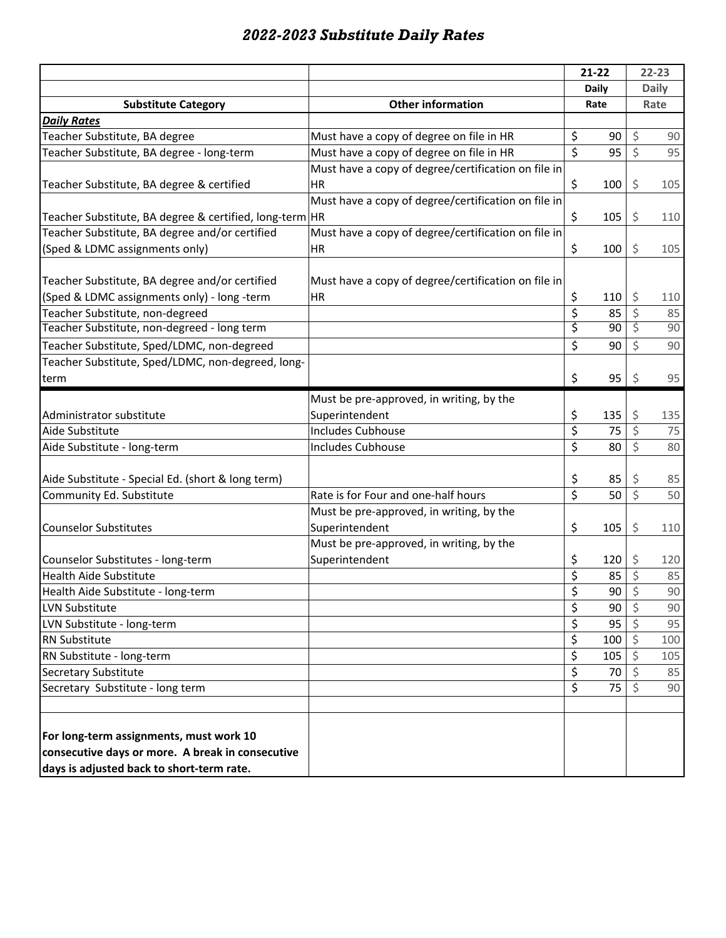## *2022-2023 Substitute Daily Rates*

|                                                                                                                                          |                                                     |                         | $21 - 22$ |                         | $22 - 23$    |  |
|------------------------------------------------------------------------------------------------------------------------------------------|-----------------------------------------------------|-------------------------|-----------|-------------------------|--------------|--|
|                                                                                                                                          |                                                     | <b>Daily</b>            |           |                         | <b>Daily</b> |  |
| <b>Substitute Category</b>                                                                                                               | <b>Other information</b>                            | Rate                    |           |                         | Rate         |  |
| <b>Daily Rates</b>                                                                                                                       |                                                     |                         |           |                         |              |  |
| Teacher Substitute, BA degree                                                                                                            | Must have a copy of degree on file in HR            | \$                      | 90        | \$                      | 90           |  |
| Teacher Substitute, BA degree - long-term                                                                                                | Must have a copy of degree on file in HR            | $\dot{\mathsf{S}}$      | 95        | $\zeta$                 | 95           |  |
|                                                                                                                                          | Must have a copy of degree/certification on file in |                         |           |                         |              |  |
| Teacher Substitute, BA degree & certified                                                                                                | HR                                                  | \$                      | 100       | \$                      | 105          |  |
|                                                                                                                                          | Must have a copy of degree/certification on file in |                         |           |                         |              |  |
| Teacher Substitute, BA degree & certified, long-term HR                                                                                  |                                                     | \$                      | 105       | \$                      | 110          |  |
| Teacher Substitute, BA degree and/or certified                                                                                           | Must have a copy of degree/certification on file in |                         |           |                         |              |  |
| (Sped & LDMC assignments only)                                                                                                           | HR                                                  | \$                      | 100       | \$                      | 105          |  |
| Teacher Substitute, BA degree and/or certified                                                                                           | Must have a copy of degree/certification on file in |                         |           |                         |              |  |
| (Sped & LDMC assignments only) - long -term                                                                                              | <b>HR</b>                                           | \$                      | 110       | \$                      | 110          |  |
| Teacher Substitute, non-degreed                                                                                                          |                                                     | \$                      | 85        | \$                      | 85           |  |
| Teacher Substitute, non-degreed - long term                                                                                              |                                                     | \$                      | 90        | \$                      | 90           |  |
| Teacher Substitute, Sped/LDMC, non-degreed                                                                                               |                                                     | \$                      | 90        | \$                      | 90           |  |
| Teacher Substitute, Sped/LDMC, non-degreed, long-                                                                                        |                                                     |                         |           |                         |              |  |
| term                                                                                                                                     |                                                     | \$                      | 95        | \$                      | 95           |  |
|                                                                                                                                          | Must be pre-approved, in writing, by the            |                         |           |                         |              |  |
| Administrator substitute                                                                                                                 | Superintendent                                      | \$                      | 135       | \$                      | 135          |  |
| Aide Substitute                                                                                                                          | <b>Includes Cubhouse</b>                            | \$                      | 75        | \$                      | 75           |  |
| Aide Substitute - long-term                                                                                                              | <b>Includes Cubhouse</b>                            | \$                      | 80        | \$                      | 80           |  |
|                                                                                                                                          |                                                     |                         |           |                         |              |  |
| Aide Substitute - Special Ed. (short & long term)                                                                                        |                                                     | \$                      | 85        | \$                      | 85           |  |
| Community Ed. Substitute                                                                                                                 | Rate is for Four and one-half hours                 | $\overline{\mathsf{S}}$ | 50        | $\overline{\mathsf{S}}$ | 50           |  |
|                                                                                                                                          | Must be pre-approved, in writing, by the            |                         |           |                         |              |  |
| <b>Counselor Substitutes</b>                                                                                                             | Superintendent                                      | \$                      | 105       | \$                      | 110          |  |
|                                                                                                                                          | Must be pre-approved, in writing, by the            |                         |           |                         |              |  |
| Counselor Substitutes - long-term                                                                                                        | Superintendent                                      | \$                      | 120       | \$                      | 120          |  |
| <b>Health Aide Substitute</b>                                                                                                            |                                                     | \$                      | 85        | \$                      | 85           |  |
| Health Aide Substitute - long-term                                                                                                       |                                                     | ረ                       | 90        | $\zeta$                 | 90           |  |
| LVN Substitute                                                                                                                           |                                                     | \$                      | 90        | \$                      | 90           |  |
| LVN Substitute - long-term                                                                                                               |                                                     | \$                      | 95        | $\zeta$                 | 95           |  |
| <b>RN Substitute</b>                                                                                                                     |                                                     | \$                      | 100       | \$                      | 100          |  |
| RN Substitute - long-term                                                                                                                |                                                     | \$                      | 105       | \$                      | 105          |  |
| Secretary Substitute                                                                                                                     |                                                     | \$                      | 70        | \$                      | 85           |  |
| Secretary Substitute - long term                                                                                                         |                                                     | \$                      | 75        |                         | 90           |  |
| For long-term assignments, must work 10<br>consecutive days or more. A break in consecutive<br>days is adjusted back to short-term rate. |                                                     |                         |           |                         |              |  |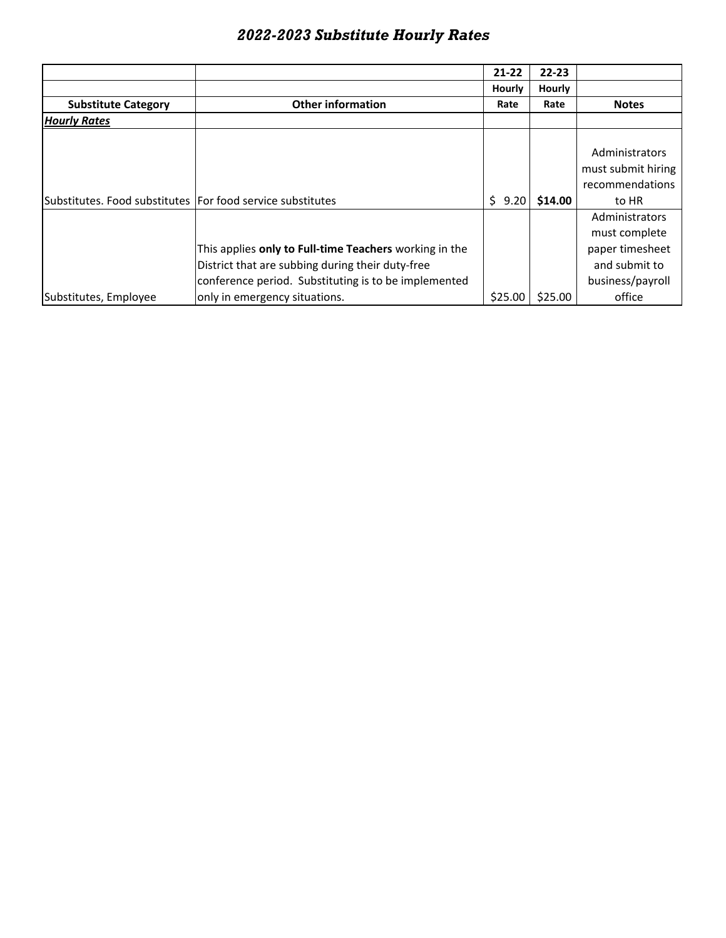|  | 2022-2023 Substitute Hourly Rates |  |  |
|--|-----------------------------------|--|--|
|--|-----------------------------------|--|--|

|                                                            |                                                        | 21-22     | $22 - 23$     |                    |
|------------------------------------------------------------|--------------------------------------------------------|-----------|---------------|--------------------|
|                                                            |                                                        | Hourly    | <b>Hourly</b> |                    |
| <b>Substitute Category</b>                                 | <b>Other information</b>                               | Rate      | Rate          | <b>Notes</b>       |
| <b>Hourly Rates</b>                                        |                                                        |           |               |                    |
|                                                            |                                                        |           |               |                    |
|                                                            |                                                        |           |               | Administrators     |
|                                                            |                                                        |           |               | must submit hiring |
|                                                            |                                                        |           |               | recommendations    |
| Substitutes. Food substitutes For food service substitutes |                                                        | Ś<br>9.20 | \$14.00       | to HR              |
|                                                            |                                                        |           |               | Administrators     |
|                                                            |                                                        |           |               | must complete      |
|                                                            | This applies only to Full-time Teachers working in the |           |               | paper timesheet    |
|                                                            | District that are subbing during their duty-free       |           |               | and submit to      |
|                                                            | conference period. Substituting is to be implemented   |           |               | business/payroll   |
| Substitutes, Employee                                      | only in emergency situations.                          | \$25.00   | \$25.00       | office             |